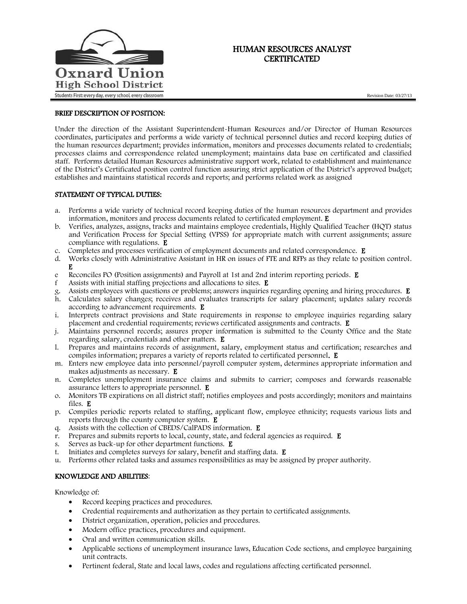

# HUMAN RESOURCES ANALYST **CERTIFICATED**

Revision Date: 03/27/13

## BRIEF DESCRIPTION OF POSITION:

Under the direction of the Assistant Superintendent-Human Resources and/or Director of Human Resources coordinates, participates and performs a wide variety of technical personnel duties and record keeping duties of the human resources department; provides information, monitors and processes documents related to credentials; processes claims and correspondence related unemployment; maintains data base on certificated and classified staff. Performs detailed Human Resources administrative support work, related to establishment and maintenance of the District's Certificated position control function assuring strict application of the District's approved budget; establishes and maintains statistical records and reports; and performs related work as assigned

## STATEMENT OF TYPICAL DUTIES:

- a. Performs a wide variety of technical record keeping duties of the human resources department and provides information, monitors and process documents related to certificated employment. E
- b. Verifies, analyzes, assigns, tracks and maintains employee credentials, Highly Qualified Teacher (HQT) status and Verification Process for Special Setting (VPSS) for appropriate match with current assignments; assure compliance with regulations. E
- c. Completes and processes verification of employment documents and related correspondence. E
- d. Works closely with Administrative Assistant in HR on issues of FTE and RFPs as they relate to position control. E
- e Reconciles PO (Position assignments) and Payroll at 1st and 2nd interim reporting periods. E
- f Assists with initial staffing projections and allocations to sites. E
- Assists employees with questions or problems; answers inquiries regarding opening and hiring procedures. **E**
- h. Calculates salary changes; receives and evaluates transcripts for salary placement; updates salary records according to advancement requirements. E
- i. Interprets contract provisions and State requirements in response to employee inquiries regarding salary placement and credential requirements; reviews certificated assignments and contracts. E
- j. Maintains personnel records; assures proper information is submitted to the County Office and the State regarding salary, credentials and other matters. E
- l. Prepares and maintains records of assignment, salary, employment status and certification; researches and compiles information; prepares a variety of reports related to certificated personnel. E
- m. Enters new employee data into personnel/payroll computer system, determines appropriate information and makes adjustments as necessary. E
- n. Completes unemployment insurance claims and submits to carrier; composes and forwards reasonable assurance letters to appropriate personnel. E
- o. Monitors TB expirations on all district staff; notifies employees and posts accordingly; monitors and maintains files. E
- p. Compiles periodic reports related to staffing, applicant flow, employee ethnicity; requests various lists and reports through the county computer system. E
- q. Assists with the collection of CBEDS/CalPADS information. E
- $\ddot{\text{r}}$ . Prepares and submits reports to local, county, state, and federal agencies as required. **E**
- s. Serves as back-up for other department functions. E
- t. Initiates and completes surveys for salary, benefit and staffing data. E
- u. Performs other related tasks and assumes responsibilities as may be assigned by proper authority.

## KNOWLEDGE AND ABILITIES:

Knowledge of:

- Record keeping practices and procedures.
- Credential requirements and authorization as they pertain to certificated assignments.
- District organization, operation, policies and procedures.
- Modern office practices, procedures and equipment.
- Oral and written communication skills.
- Applicable sections of unemployment insurance laws, Education Code sections, and employee bargaining unit contracts.
- Pertinent federal, State and local laws, codes and regulations affecting certificated personnel.